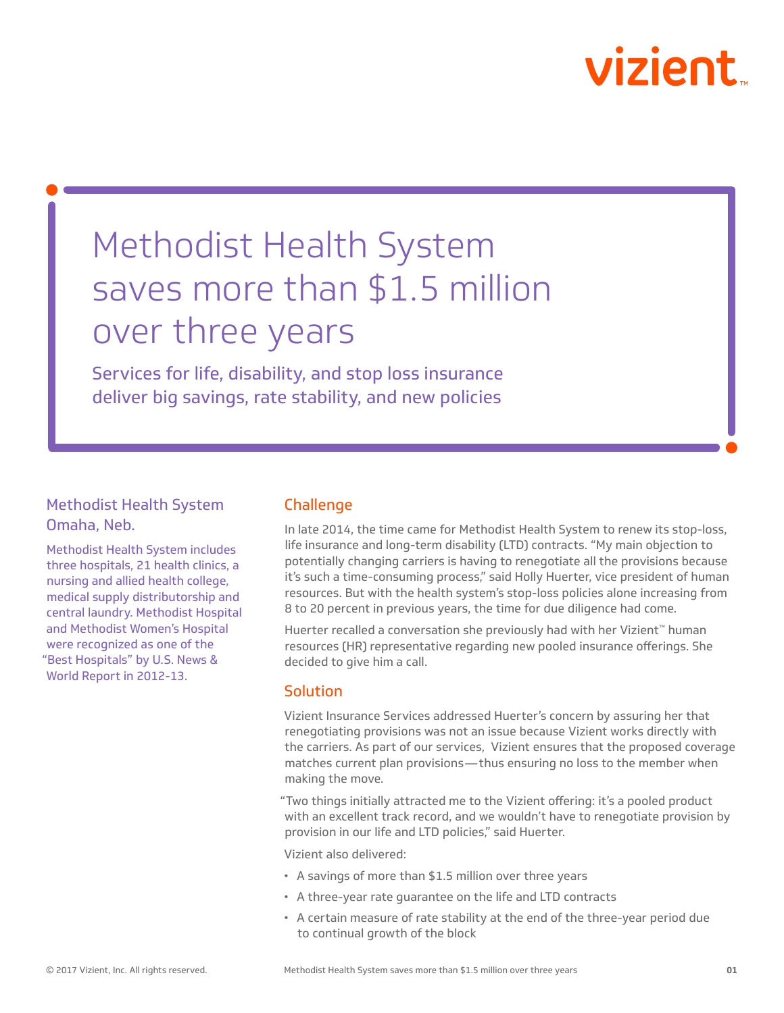# vizient

## Methodist Health System saves more than \$1.5 million over three years

Services for life, disability, and stop loss insurance deliver big savings, rate stability, and new policies

### Methodist Health System Omaha, Neb.

Methodist Health System includes three hospitals, 21 health clinics, a nursing and allied health college, medical supply distributorship and central laundry. Methodist Hospital and Methodist Women's Hospital were recognized as one of the "Best Hospitals" by U.S. News & World Report in 2012-13.

### Challenge

In late 2014, the time came for Methodist Health System to renew its stop-loss, life insurance and long-term disability (LTD) contracts. "My main objection to potentially changing carriers is having to renegotiate all the provisions because it's such a time-consuming process," said Holly Huerter, vice president of human resources. But with the health system's stop-loss policies alone increasing from 8 to 20 percent in previous years, the time for due diligence had come.

Huerter recalled a conversation she previously had with her Vizient™ human resources (HR) representative regarding new pooled insurance offerings. She decided to give him a call.

#### **Solution**

Vizient Insurance Services addressed Huerter's concern by assuring her that renegotiating provisions was not an issue because Vizient works directly with the carriers. As part of our services, Vizient ensures that the proposed coverage matches current plan provisions—thus ensuring no loss to the member when making the move.

"Two things initially attracted me to the Vizient offering: it's a pooled product with an excellent track record, and we wouldn't have to renegotiate provision by provision in our life and LTD policies," said Huerter.

Vizient also delivered:

- A savings of more than \$1.5 million over three years
- A three-year rate guarantee on the life and LTD contracts
- A certain measure of rate stability at the end of the three-year period due to continual growth of the block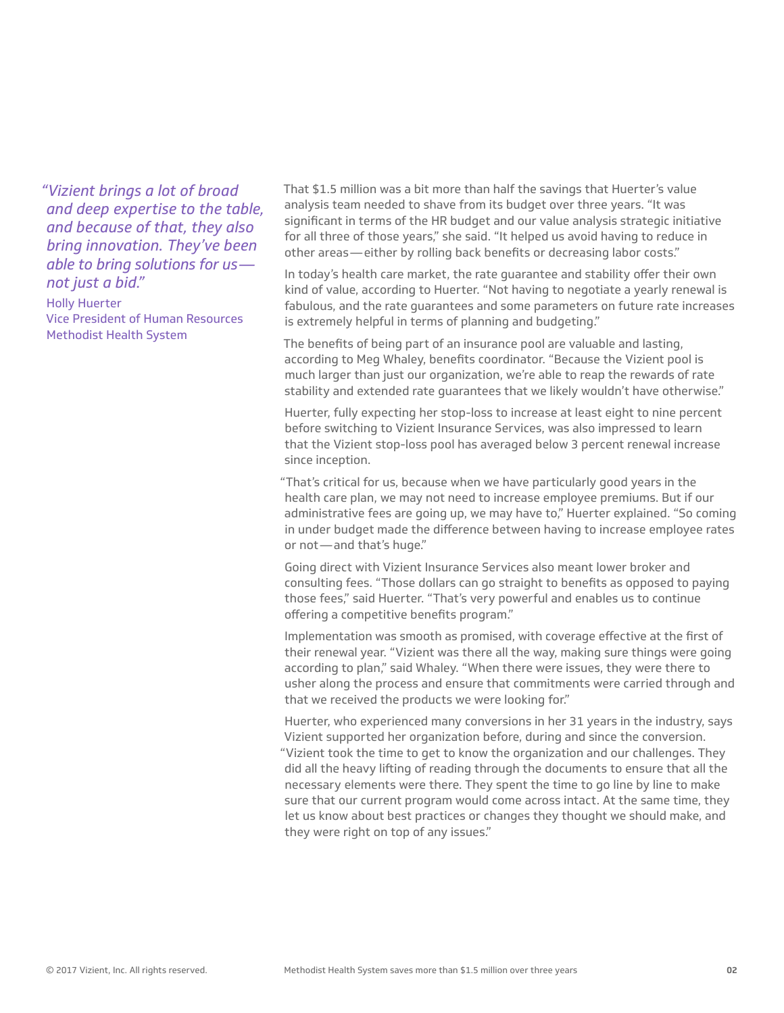*"Vizient brings a lot of broad and deep expertise to the table, and because of that, they also bring innovation. They've been able to bring solutions for us not just a bid."*

Holly Huerter Vice President of Human Resources Methodist Health System

That \$1.5 million was a bit more than half the savings that Huerter's value analysis team needed to shave from its budget over three years. "It was significant in terms of the HR budget and our value analysis strategic initiative for all three of those years," she said. "It helped us avoid having to reduce in other areas—either by rolling back benefits or decreasing labor costs."

In today's health care market, the rate guarantee and stability offer their own kind of value, according to Huerter. "Not having to negotiate a yearly renewal is fabulous, and the rate guarantees and some parameters on future rate increases is extremely helpful in terms of planning and budgeting."

The benefits of being part of an insurance pool are valuable and lasting, according to Meg Whaley, benefits coordinator. "Because the Vizient pool is much larger than just our organization, we're able to reap the rewards of rate stability and extended rate guarantees that we likely wouldn't have otherwise."

Huerter, fully expecting her stop-loss to increase at least eight to nine percent before switching to Vizient Insurance Services, was also impressed to learn that the Vizient stop-loss pool has averaged below 3 percent renewal increase since inception.

"That's critical for us, because when we have particularly good years in the health care plan, we may not need to increase employee premiums. But if our administrative fees are going up, we may have to," Huerter explained. "So coming in under budget made the difference between having to increase employee rates or not—and that's huge."

Going direct with Vizient Insurance Services also meant lower broker and consulting fees. "Those dollars can go straight to benefits as opposed to paying those fees," said Huerter. "That's very powerful and enables us to continue offering a competitive benefits program."

Implementation was smooth as promised, with coverage effective at the first of their renewal year. "Vizient was there all the way, making sure things were going according to plan," said Whaley. "When there were issues, they were there to usher along the process and ensure that commitments were carried through and that we received the products we were looking for."

Huerter, who experienced many conversions in her 31 years in the industry, says Vizient supported her organization before, during and since the conversion. "Vizient took the time to get to know the organization and our challenges. They did all the heavy lifting of reading through the documents to ensure that all the necessary elements were there. They spent the time to go line by line to make sure that our current program would come across intact. At the same time, they let us know about best practices or changes they thought we should make, and they were right on top of any issues."